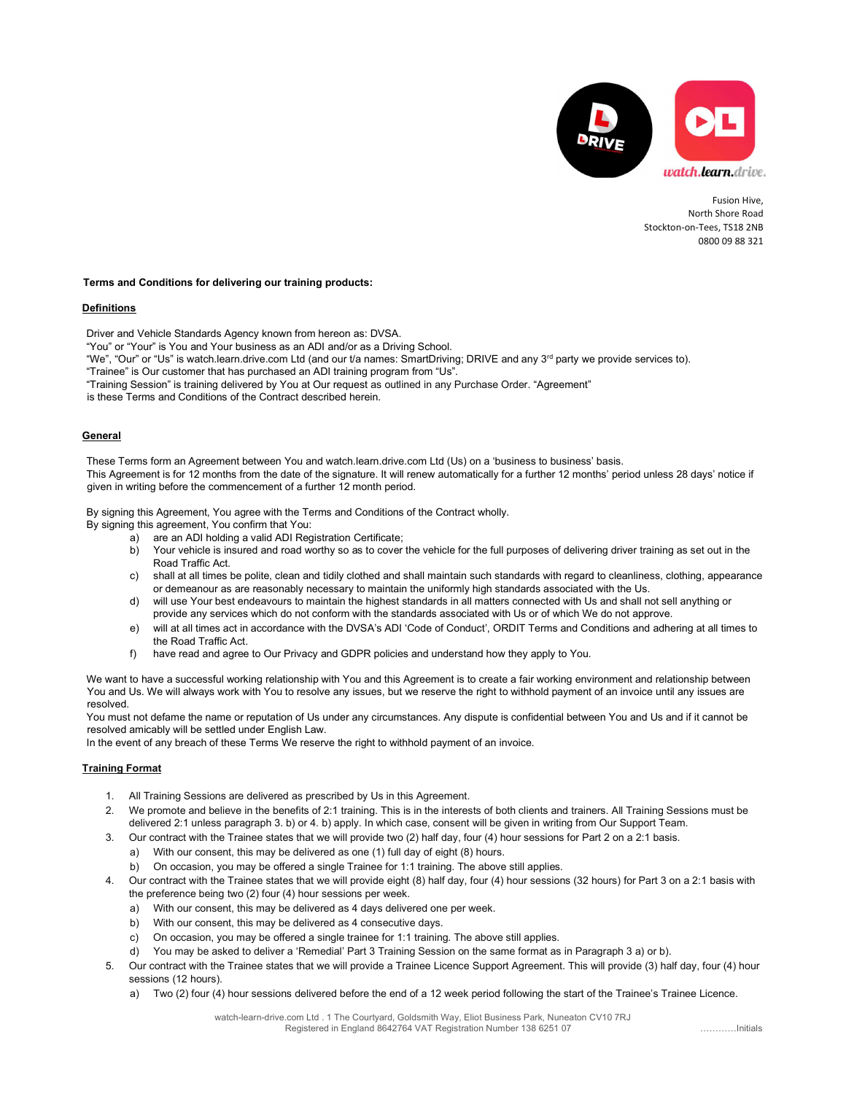

Fusion Hive, North Shore Road Stockton-on-Tees, TS18 2NB 0800 09 88 321

# Terms and Conditions for delivering our training products:

### Definitions

Driver and Vehicle Standards Agency known from hereon as: DVSA.

"You" or "Your" is You and Your business as an ADI and/or as a Driving School.

- "We", "Our" or "Us" is watch.learn.drive.com Ltd (and our t/a names: SmartDriving; DRIVE and any 3<sup>rd</sup> party we provide services to).
- "Trainee" is Our customer that has purchased an ADI training program from "Us".

"Training Session" is training delivered by You at Our request as outlined in any Purchase Order. "Agreement"

is these Terms and Conditions of the Contract described herein.

### General

These Terms form an Agreement between You and watch.learn.drive.com Ltd (Us) on a 'business to business' basis. This Agreement is for 12 months from the date of the signature. It will renew automatically for a further 12 months' period unless 28 days' notice if given in writing before the commencement of a further 12 month period.

By signing this Agreement, You agree with the Terms and Conditions of the Contract wholly.

By signing this agreement, You confirm that You:

- a) are an ADI holding a valid ADI Registration Certificate;
- b) Your vehicle is insured and road worthy so as to cover the vehicle for the full purposes of delivering driver training as set out in the Road Traffic Act.
- c) shall at all times be polite, clean and tidily clothed and shall maintain such standards with regard to cleanliness, clothing, appearance or demeanour as are reasonably necessary to maintain the uniformly high standards associated with the Us.
- d) will use Your best endeavours to maintain the highest standards in all matters connected with Us and shall not sell anything or provide any services which do not conform with the standards associated with Us or of which We do not approve.
- e) will at all times act in accordance with the DVSA's ADI 'Code of Conduct', ORDIT Terms and Conditions and adhering at all times to the Road Traffic Act.
- f) have read and agree to Our Privacy and GDPR policies and understand how they apply to You.

We want to have a successful working relationship with You and this Agreement is to create a fair working environment and relationship between You and Us. We will always work with You to resolve any issues, but we reserve the right to withhold payment of an invoice until any issues are resolved.

You must not defame the name or reputation of Us under any circumstances. Any dispute is confidential between You and Us and if it cannot be resolved amicably will be settled under English Law.

In the event of any breach of these Terms We reserve the right to withhold payment of an invoice.

# Training Format

- 1. All Training Sessions are delivered as prescribed by Us in this Agreement.
- 2. We promote and believe in the benefits of 2:1 training. This is in the interests of both clients and trainers. All Training Sessions must be delivered 2:1 unless paragraph 3. b) or 4. b) apply. In which case, consent will be given in writing from Our Support Team.
- 3. Our contract with the Trainee states that we will provide two (2) half day, four (4) hour sessions for Part 2 on a 2:1 basis.
	- a) With our consent, this may be delivered as one (1) full day of eight (8) hours.
	- b) On occasion, you may be offered a single Trainee for 1:1 training. The above still applies.
- 4. Our contract with the Trainee states that we will provide eight (8) half day, four (4) hour sessions (32 hours) for Part 3 on a 2:1 basis with the preference being two (2) four (4) hour sessions per week.
	- a) With our consent, this may be delivered as 4 days delivered one per week.
	- b) With our consent, this may be delivered as 4 consecutive days.
	- c) On occasion, you may be offered a single trainee for 1:1 training. The above still applies.
	- d) You may be asked to deliver a 'Remedial' Part 3 Training Session on the same format as in Paragraph 3 a) or b).
- 5. Our contract with the Trainee states that we will provide a Trainee Licence Support Agreement. This will provide (3) half day, four (4) hour sessions (12 hours).
	- a) Two (2) four (4) hour sessions delivered before the end of a 12 week period following the start of the Trainee's Trainee Licence.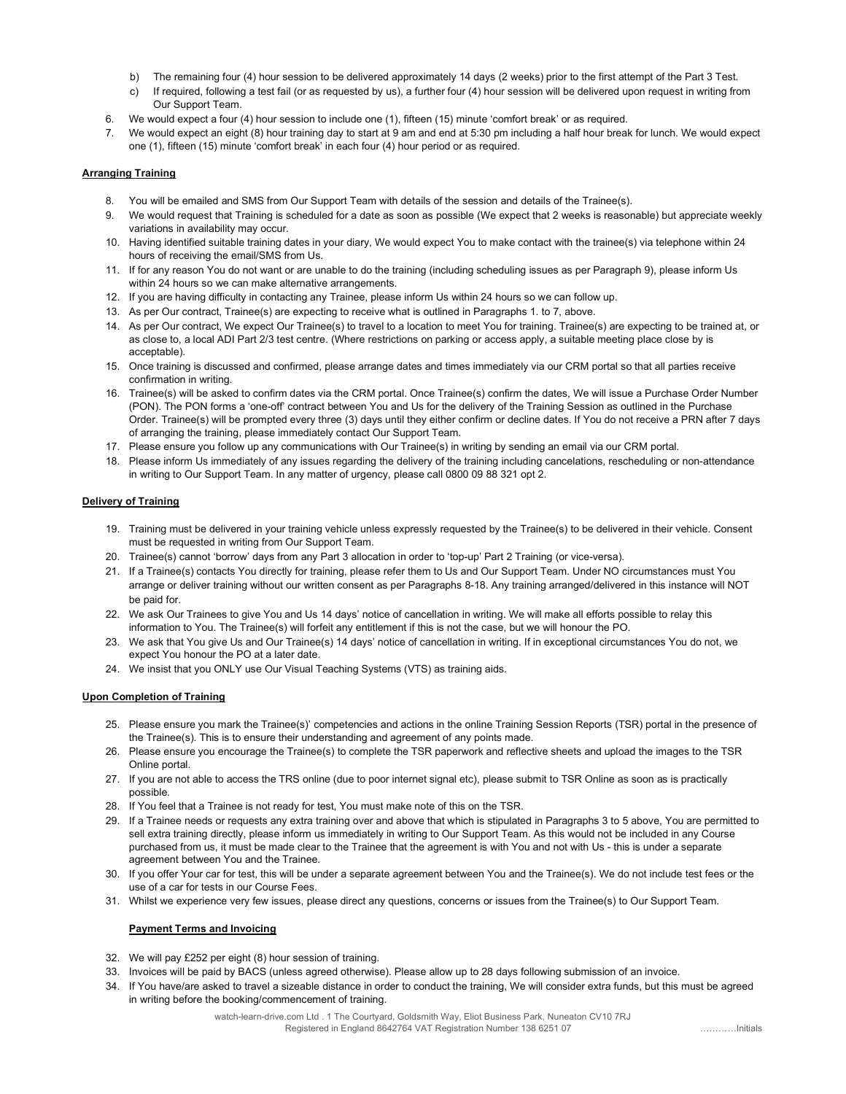- b) The remaining four (4) hour session to be delivered approximately 14 days (2 weeks) prior to the first attempt of the Part 3 Test.
- c) If required, following a test fail (or as requested by us), a further four (4) hour session will be delivered upon request in writing from Our Support Team.
- 6. We would expect a four (4) hour session to include one (1), fifteen (15) minute 'comfort break' or as required.
- 7. We would expect an eight (8) hour training day to start at 9 am and end at 5:30 pm including a half hour break for lunch. We would expect one (1), fifteen (15) minute 'comfort break' in each four (4) hour period or as required.

# Arranging Training

- 8. You will be emailed and SMS from Our Support Team with details of the session and details of the Trainee(s).
- 9. We would request that Training is scheduled for a date as soon as possible (We expect that 2 weeks is reasonable) but appreciate weekly variations in availability may occur.
- 10. Having identified suitable training dates in your diary, We would expect You to make contact with the trainee(s) via telephone within 24 hours of receiving the email/SMS from Us.
- 11. If for any reason You do not want or are unable to do the training (including scheduling issues as per Paragraph 9), please inform Us within 24 hours so we can make alternative arrangements.
- 12. If you are having difficulty in contacting any Trainee, please inform Us within 24 hours so we can follow up.
- 13. As per Our contract, Trainee(s) are expecting to receive what is outlined in Paragraphs 1. to 7, above.
- 14. As per Our contract, We expect Our Trainee(s) to travel to a location to meet You for training. Trainee(s) are expecting to be trained at, or as close to, a local ADI Part 2/3 test centre. (Where restrictions on parking or access apply, a suitable meeting place close by is acceptable).
- 15. Once training is discussed and confirmed, please arrange dates and times immediately via our CRM portal so that all parties receive confirmation in writing.
- 16. Trainee(s) will be asked to confirm dates via the CRM portal. Once Trainee(s) confirm the dates, We will issue a Purchase Order Number (PON). The PON forms a 'one-off' contract between You and Us for the delivery of the Training Session as outlined in the Purchase Order. Trainee(s) will be prompted every three (3) days until they either confirm or decline dates. If You do not receive a PRN after 7 days of arranging the training, please immediately contact Our Support Team.
- 17. Please ensure you follow up any communications with Our Trainee(s) in writing by sending an email via our CRM portal.
- 18. Please inform Us immediately of any issues regarding the delivery of the training including cancelations, rescheduling or non-attendance in writing to Our Support Team. In any matter of urgency, please call 0800 09 88 321 opt 2.

### Delivery of Training

- 19. Training must be delivered in your training vehicle unless expressly requested by the Trainee(s) to be delivered in their vehicle. Consent must be requested in writing from Our Support Team.
- 20. Trainee(s) cannot 'borrow' days from any Part 3 allocation in order to 'top-up' Part 2 Training (or vice-versa).
- 21. If a Trainee(s) contacts You directly for training, please refer them to Us and Our Support Team. Under NO circumstances must You arrange or deliver training without our written consent as per Paragraphs 8-18. Any training arranged/delivered in this instance will NOT be paid for.
- 22. We ask Our Trainees to give You and Us 14 days' notice of cancellation in writing. We will make all efforts possible to relay this information to You. The Trainee(s) will forfeit any entitlement if this is not the case, but we will honour the PO.
- 23. We ask that You give Us and Our Trainee(s) 14 days' notice of cancellation in writing. If in exceptional circumstances You do not, we expect You honour the PO at a later date.
- 24. We insist that you ONLY use Our Visual Teaching Systems (VTS) as training aids.

### Upon Completion of Training

- 25. Please ensure you mark the Trainee(s)' competencies and actions in the online Training Session Reports (TSR) portal in the presence of the Trainee(s). This is to ensure their understanding and agreement of any points made.
- 26. Please ensure you encourage the Trainee(s) to complete the TSR paperwork and reflective sheets and upload the images to the TSR Online portal.
- 27. If you are not able to access the TRS online (due to poor internet signal etc), please submit to TSR Online as soon as is practically possible.
- 28. If You feel that a Trainee is not ready for test, You must make note of this on the TSR.
- 29. If a Trainee needs or requests any extra training over and above that which is stipulated in Paragraphs 3 to 5 above, You are permitted to sell extra training directly, please inform us immediately in writing to Our Support Team. As this would not be included in any Course purchased from us, it must be made clear to the Trainee that the agreement is with You and not with Us - this is under a separate agreement between You and the Trainee.
- 30. If you offer Your car for test, this will be under a separate agreement between You and the Trainee(s). We do not include test fees or the use of a car for tests in our Course Fees.
- 31. Whilst we experience very few issues, please direct any questions, concerns or issues from the Trainee(s) to Our Support Team.

### Payment Terms and Invoicing

- 32. We will pay £252 per eight (8) hour session of training.
- 33. Invoices will be paid by BACS (unless agreed otherwise). Please allow up to 28 days following submission of an invoice.
- 34. If You have/are asked to travel a sizeable distance in order to conduct the training, We will consider extra funds, but this must be agreed in writing before the booking/commencement of training.